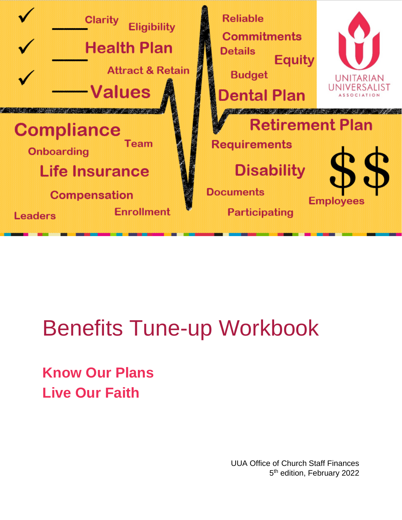

# Benefits Tune-up Workbook

**Know Our Plans Live Our Faith**

> UUA Office of Church Staff Finances 5<sup>th</sup> edition, February 2022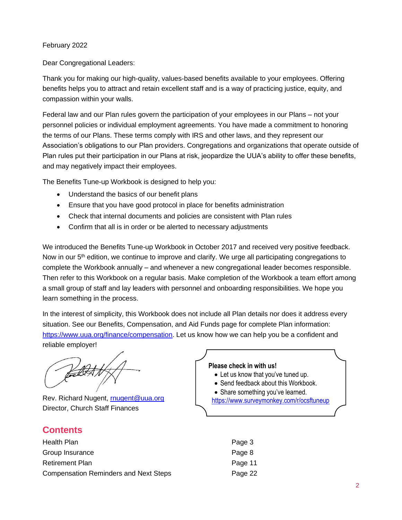#### February 2022

#### Dear Congregational Leaders:

Thank you for making our high-quality, values-based benefits available to your employees. Offering benefits helps you to attract and retain excellent staff and is a way of practicing justice, equity, and compassion within your walls.

Federal law and our Plan rules govern the participation of your employees in our Plans – not your personnel policies or individual employment agreements. You have made a commitment to honoring the terms of our Plans. These terms comply with IRS and other laws, and they represent our Association's obligations to our Plan providers. Congregations and organizations that operate outside of Plan rules put their participation in our Plans at risk, jeopardize the UUA's ability to offer these benefits, and may negatively impact their employees.

The Benefits Tune-up Workbook is designed to help you:

- Understand the basics of our benefit plans
- Ensure that you have good protocol in place for benefits administration
- Check that internal documents and policies are consistent with Plan rules
- Confirm that all is in order or be alerted to necessary adjustments

We introduced the Benefits Tune-up Workbook in October 2017 and received very positive feedback. Now in our 5<sup>th</sup> edition, we continue to improve and clarify. We urge all participating congregations to complete the Workbook annually – and whenever a new congregational leader becomes responsible. Then refer to this Workbook on a regular basis. Make completion of the Workbook a team effort among a small group of staff and lay leaders with personnel and onboarding responsibilities. We hope you learn something in the process.

In the interest of simplicity, this Workbook does not include all Plan details nor does it address every situation. See our Benefits, Compensation, and Aid Funds page for complete Plan information: [https://www.uua.org/finance/compensation.](https://www.uua.org/finance/compensation) Let us know how we can help you be a confident and reliable employer!

Rev. Richard Nugent, [rnugent@uua.org](mailto:rnugent@uua.org) Director, Church Staff Finances

### **Contents**

| Health Plan                                  | Page 3 |
|----------------------------------------------|--------|
| Group Insurance                              | Page 8 |
| <b>Retirement Plan</b>                       | Page 1 |
| <b>Compensation Reminders and Next Steps</b> | Page 2 |

#### **Please check in with us!**

- Let us know that you've tuned up.
- Send feedback about this Workbook.
- Share something you've learned. <https://www.surveymonkey.com/r/ocsftuneup>
	- Page 11 Page 22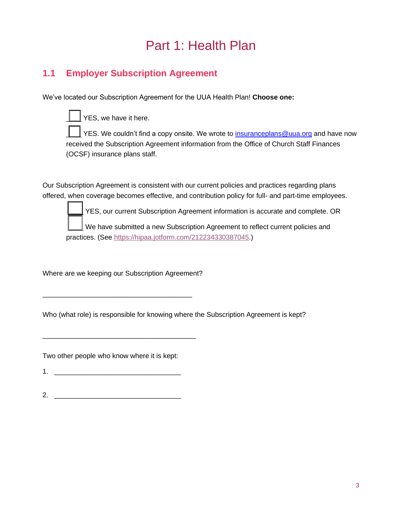## Part 1: Health Plan

## **1.1 Employer Subscription Agreement**

We've located our Subscription Agreement for the UUA Health Plan! **Choose one:**

 $\vert$  YES, we have it here.

YES. We couldn't find a copy onsite. We wrote to [insuranceplans@uua.org](mailto:insuranceplans@uua.org) and have now received the Subscription Agreement information from the Office of Church Staff Finances (OCSF) insurance plans staff.

Our Subscription Agreement is consistent with our current policies and practices regarding plans offered, when coverage becomes effective, and contribution policy for full- and part-time employees.

YES, our current Subscription Agreement information is accurate and complete. OR

We have submitted a new Subscription Agreement to reflect current policies and practices. (See [https://hipaa.jotform.com/212234330387045.](https://hipaa.jotform.com/212234330387045))

Where are we keeping our Subscription Agreement?

\_\_\_\_\_\_\_\_\_\_\_\_\_\_\_\_\_\_\_\_\_\_\_\_\_\_\_\_\_\_\_\_\_\_\_\_\_\_\_

\_\_\_\_\_\_\_\_\_\_\_\_\_\_\_\_\_\_\_\_\_\_\_\_\_\_\_\_\_\_\_\_\_\_\_\_\_\_\_\_

Who (what role) is responsible for knowing where the Subscription Agreement is kept?

Two other people who know where it is kept:

 $1.$ 

 $2.$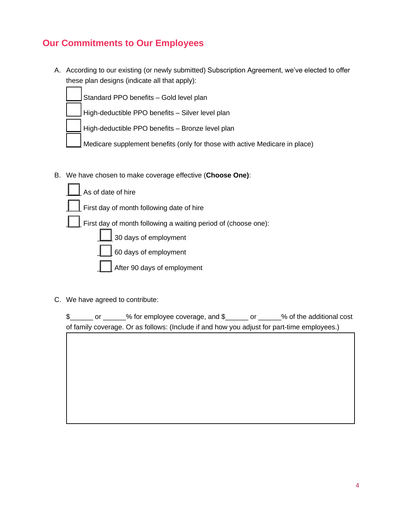## **Our Commitments to Our Employees**

A. According to our existing (or newly submitted) Subscription Agreement, we've elected to offer these plan designs (indicate all that apply):

Standard PPO benefits – Gold level plan

High-deductible PPO benefits – Silver level plan

- High-deductible PPO benefits Bronze level plan
- Medicare supplement benefits (only for those with active Medicare in place)
- B. We have chosen to make coverage effective (**Choose One)**:

| As of date of hire                                                     |
|------------------------------------------------------------------------|
| $\perp$ First day of month following date of hire                      |
| $\vert$ First day of month following a waiting period of (choose one): |
| $\boxed{\phantom{1}}$ 30 days of employment                            |
| 60 days of employment                                                  |
| After 90 days of employment                                            |

C. We have agreed to contribute:

|  | $\frac{6}{5}$ for employee coverage, and \$                                                 |  | % of the additional cost |
|--|---------------------------------------------------------------------------------------------|--|--------------------------|
|  | of family coverage. Or as follows: (Include if and how you adjust for part-time employees.) |  |                          |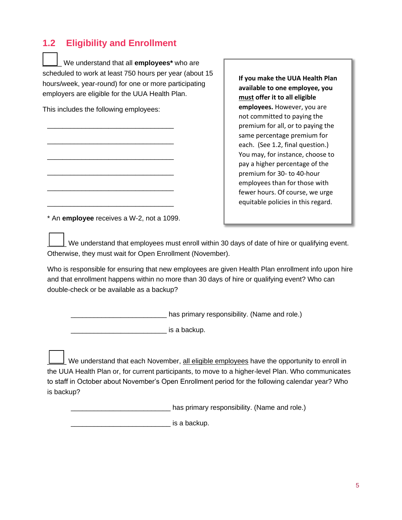## **1.2 Eligibility and Enrollment**

\_\_\_\_\_ We understand that all **employees\*** who are scheduled to work at least 750 hours per year (about 15 hours/week, year-round) for one or more participating employers are eligible for the UUA Health Plan.

This includes the following employees:

\_\_\_\_\_\_\_\_\_\_\_\_\_\_\_\_\_\_\_\_\_\_\_\_\_\_\_\_\_\_\_\_\_

\_\_\_\_\_\_\_\_\_\_\_\_\_\_\_\_\_\_\_\_\_\_\_\_\_\_\_\_\_\_\_\_\_

\_\_\_\_\_\_\_\_\_\_\_\_\_\_\_\_\_\_\_\_\_\_\_\_\_\_\_\_\_\_\_\_\_

\_\_\_\_\_\_\_\_\_\_\_\_\_\_\_\_\_\_\_\_\_\_\_\_\_\_\_\_\_\_\_\_\_

\_\_\_\_\_\_\_\_\_\_\_\_\_\_\_\_\_\_\_\_\_\_\_\_\_\_\_\_\_\_\_\_\_

\_\_\_\_\_\_\_\_\_\_\_\_\_\_\_\_\_\_\_\_\_\_\_\_\_\_\_\_\_\_\_\_\_

**If you make the UUA Health Plan available to one employee, you must offer it to all eligible employees.** However, you are not committed to paying the premium for all, or to paying the same percentage premium for each. (See 1.2, final question.) You may, for instance, choose to pay a higher percentage of the premium for 30- to 40-hour employees than for those with fewer hours. Of course, we urge equitable policies in this regard.

\* An **employee** receives a W-2, not a 1099.

We understand that employees must enroll within 30 days of date of hire or qualifying event. Otherwise, they must wait for Open Enrollment (November).

Who is responsible for ensuring that new employees are given Health Plan enrollment info upon hire and that enrollment happens within no more than 30 days of hire or qualifying event? Who can double-check or be available as a backup?

\_\_\_\_\_\_\_\_\_\_\_\_\_\_\_\_\_\_\_\_\_\_\_\_\_ has primary responsibility. (Name and role.)

 $\blacksquare$  is a backup.

 $\mathsf L$  We understand that each November, <u>all eligible employees</u> have the opportunity to enroll in the UUA Health Plan or, for current participants, to move to a higher-level Plan. Who communicates to staff in October about November's Open Enrollment period for the following calendar year? Who is backup?

\_\_\_\_\_\_\_\_\_\_\_\_\_\_\_\_\_\_\_\_\_\_\_\_\_\_ has primary responsibility. (Name and role.)

\_\_\_\_\_\_\_\_\_\_\_\_\_\_\_\_\_\_\_\_\_\_\_\_\_\_ is a backup.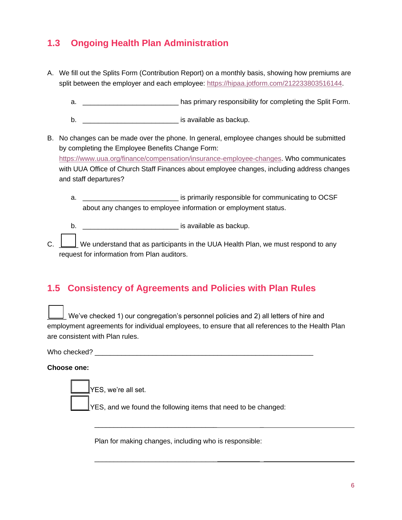## **1.3 Ongoing Health Plan Administration**

- A. We fill out the Splits Form (Contribution Report) on a monthly basis, showing how premiums are split between the employer and each employee: [https://hipaa.jotform.com/212233803516144.](https://hipaa.jotform.com/212233803516144)
	- a.  $\blacksquare$  a.
	- b. \_\_\_\_\_\_\_\_\_\_\_\_\_\_\_\_\_\_\_\_\_\_\_\_\_\_\_\_\_\_\_\_\_ is available as backup.
- B. No changes can be made over the phone. In general, employee changes should be submitted by completing the Employee Benefits Change Form: [https://www.uua.org/finance/compensation/insurance-employee-changes.](https://www.uua.org/finance/compensation/insurance-employee-changes) Who communicates with UUA Office of Church Staff Finances about employee changes, including address changes and staff departures?
	- a. \_\_\_\_\_\_\_\_\_\_\_\_\_\_\_\_\_\_\_\_\_\_\_\_\_ is primarily responsible for communicating to OCSF about any changes to employee information or employment status.

b. \_\_\_\_\_\_\_\_\_\_\_\_\_\_\_\_\_\_\_\_\_\_\_\_\_ is available as backup.

C.  $\Box$  We understand that as participants in the UUA Health Plan, we must respond to any request for information from Plan auditors.

### **1.5 Consistency of Agreements and Policies with Plan Rules**

 $\Box$  We've checked 1) our congregation's personnel policies and 2) all letters of hire and employment agreements for individual employees, to ensure that all references to the Health Plan are consistent with Plan rules.

Who checked? will be a set of the set of the set of the set of the set of the set of the set of the set of the set of the set of the set of the set of the set of the set of the set of the set of the set of the set of the s

**Choose one:**



Plan for making changes, including who is responsible:

\_\_\_\_\_\_\_\_\_\_\_\_\_\_\_\_\_\_\_\_\_\_\_\_\_\_\_\_\_\_\_\_ \_

\_\_\_\_\_\_\_\_\_\_\_\_\_\_\_\_\_\_\_\_\_\_\_\_\_\_\_\_\_\_\_\_ \_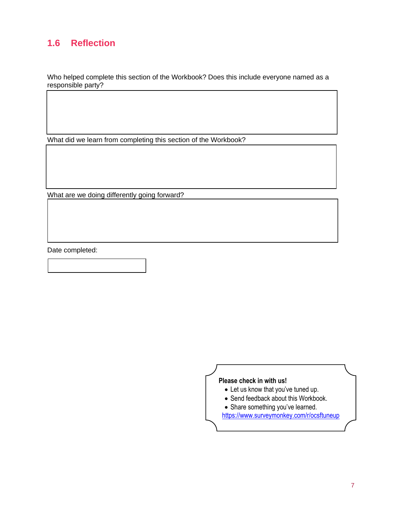## **1.6 Reflection**

Who helped complete this section of the Workbook? Does this include everyone named as a responsible party?

What did we learn from completing this section of the Workbook?

What are we doing differently going forward?

Date completed:

#### **Please check in with us!**

- Let us know that you've tuned up.
- Send feedback about this Workbook.
- Share something you've learned.

<https://www.surveymonkey.com/r/ocsftuneup>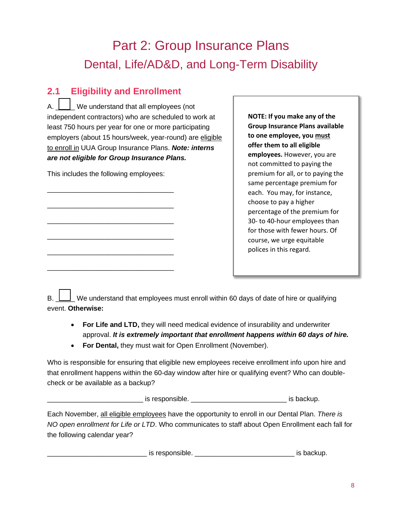## Part 2: Group Insurance Plans Dental, Life/AD&D, and Long-Term Disability

## **2.1 Eligibility and Enrollment**

 $A.$   $\parallel$   $\parallel$  We understand that all employees (not independent contractors) who are scheduled to work at least 750 hours per year for one or more participating employers (about 15 hours/week, year-round) are eligible to enroll in UUA Group Insurance Plans. *Note: interns are not eligible for Group Insurance Plans.*

This includes the following employees:

\_\_\_\_\_\_\_\_\_\_\_\_\_\_\_\_\_\_\_\_\_\_\_\_\_\_\_\_\_\_\_\_\_

\_\_\_\_\_\_\_\_\_\_\_\_\_\_\_\_\_\_\_\_\_\_\_\_\_\_\_\_\_\_\_\_\_

\_\_\_\_\_\_\_\_\_\_\_\_\_\_\_\_\_\_\_\_\_\_\_\_\_\_\_\_\_\_\_\_\_

\_\_\_\_\_\_\_\_\_\_\_\_\_\_\_\_\_\_\_\_\_\_\_\_\_\_\_\_\_\_\_\_\_

\_\_\_\_\_\_\_\_\_\_\_\_\_\_\_\_\_\_\_\_\_\_\_\_\_\_\_\_\_\_\_\_\_

\_\_\_\_\_\_\_\_\_\_\_\_\_\_\_\_\_\_\_\_\_\_\_\_\_\_\_\_\_\_\_\_\_

**NOTE: If you make any of the Group Insurance Plans available to one employee, you must offer them to all eligible employees.** However, you are not committed to paying the premium for all, or to paying the same percentage premium for each. You may, for instance, choose to pay a higher percentage of the premium for 30- to 40-hour employees than for those with fewer hours. Of course, we urge equitable polices in this regard.

B.  $\Box$  We understand that employees must enroll within 60 days of date of hire or qualifying event. **Otherwise:**

- **For Life and LTD,** they will need medical evidence of insurability and underwriter approval. *It is extremely important that enrollment happens within 60 days of hire.*
- **For Dental,** they must wait for Open Enrollment (November).

Who is responsible for ensuring that eligible new employees receive enrollment info upon hire and that enrollment happens within the 60-day window after hire or qualifying event? Who can doublecheck or be available as a backup?

Let us responsible. The set of the set of the set of the set of the set of the set of the set of the set of th

Each November, all eligible employees have the opportunity to enroll in our Dental Plan. *There is NO open enrollment for Life or LTD*. Who communicates to staff about Open Enrollment each fall for the following calendar year?

is responsible. \_\_\_\_\_\_\_\_\_\_\_\_\_\_\_\_\_\_\_\_\_\_\_\_\_\_\_\_\_\_\_\_\_\_\_ is backup.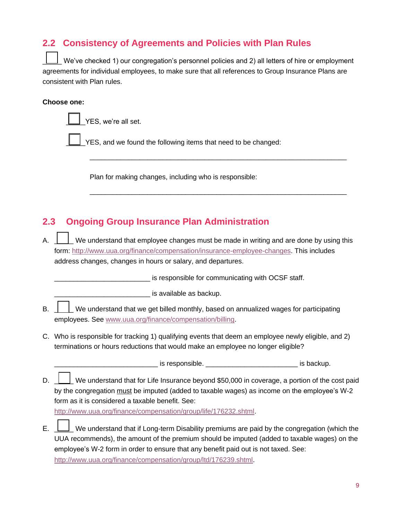## **2.2 Consistency of Agreements and Policies with Plan Rules**

We've checked 1) our congregation's personnel policies and 2) all letters of hire or employment agreements for individual employees, to make sure that all references to Group Insurance Plans are consistent with Plan rules.

 $\_$  , and the set of the set of the set of the set of the set of the set of the set of the set of the set of the set of the set of the set of the set of the set of the set of the set of the set of the set of the set of th

 $\_$  ,  $\_$  ,  $\_$  ,  $\_$  ,  $\_$  ,  $\_$  ,  $\_$  ,  $\_$  ,  $\_$  ,  $\_$  ,  $\_$  ,  $\_$  ,  $\_$  ,  $\_$  ,  $\_$  ,  $\_$  ,  $\_$  ,  $\_$  ,  $\_$ 

#### **Choose one:**

YES, we're all set.

YES, and we found the following items that need to be changed:

Plan for making changes, including who is responsible:

## **2.3 Ongoing Group Insurance Plan Administration**

A.  $\Box$  We understand that employee changes must be made in writing and are done by using this form: [http://www.uua.org/finance/compensation/insurance-employee-changes.](http://www.uua.org/finance/compensation/insurance-employee-changes) This includes address changes, changes in hours or salary, and departures.

**EXECUTE:** is responsible for communicating with OCSF staff.

 $-$  is available as backup.

- $\mathsf{B}$ .  $\Box$  We understand that we get billed monthly, based on annualized wages for participating employees. See [www.uua.org/finance/compensation/billing.](http://www.uua.org/finance/compensation/billing)
- C. Who is responsible for tracking 1) qualifying events that deem an employee newly eligible, and 2) terminations or hours reductions that would make an employee no longer eligible?

is responsible. The settle of the settle is backup.

D.  $\Box$  We understand that for Life Insurance beyond \$50,000 in coverage, a portion of the cost paid by the congregation must be imputed (added to taxable wages) as income on the employee's W-2 form as it is considered a taxable benefit. See:

[http://www.uua.org/finance/compensation/group/life/176232.shtml.](http://www.uua.org/finance/compensation/group/life/176232.shtml)

E.  $\Box$  We understand that if Long-term Disability premiums are paid by the congregation (which the UUA recommends), the amount of the premium should be imputed (added to taxable wages) on the employee's W-2 form in order to ensure that any benefit paid out is not taxed. See: <http://www.uua.org/finance/compensation/group/ltd/176239.shtml>.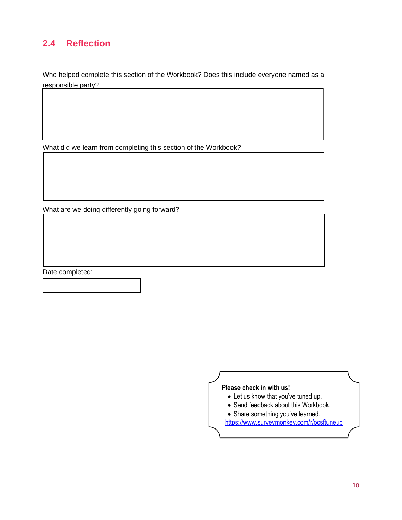## **2.4 Reflection**

Who helped complete this section of the Workbook? Does this include everyone named as a responsible party?

What did we learn from completing this section of the Workbook?

What are we doing differently going forward?

Date completed:

#### **Please check in with us!**

- Let us know that you've tuned up.
- Send feedback about this Workbook.
- Share something you've learned.

<https://www.surveymonkey.com/r/ocsftuneup>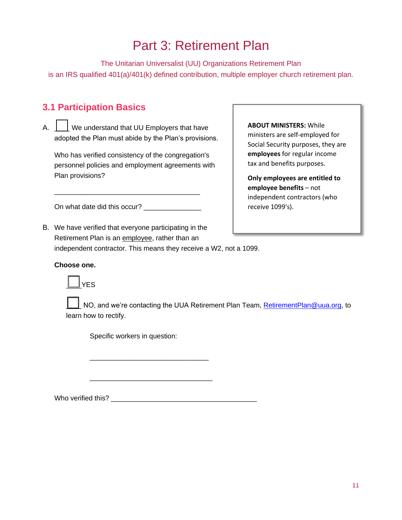## Part 3: Retirement Plan

The Unitarian Universalist (UU) Organizations Retirement Plan is an IRS qualified 401(a)/401(k) defined contribution, multiple employer church retirement plan.

## **3.1 Participation Basics**

A.  $\Box$  We understand that UU Employers that have adopted the Plan must abide by the Plan's provisions.

Who has verified consistency of the congregation's personnel policies and employment agreements with Plan provisions?

On what date did this occur? \_\_\_\_\_\_\_\_\_\_\_\_\_\_\_

\_\_\_\_\_\_\_\_\_\_\_\_\_\_\_\_\_\_\_\_\_\_\_\_\_\_\_\_\_\_\_\_\_\_\_\_\_\_

#### Social Security purposes, they are

**ABOUT MINISTERS:** While ministers are self-employed for

**employees** for regular income tax and benefits purposes.

**Only employees are entitled to employee benefits** – not independent contractors (who receive 1099's).

B. We have verified that everyone participating in the Retirement Plan is an employee, rather than an independent contractor. This means they receive a W2, not a 1099.

#### **Choose one.**



NO, and we're contacting the UUA Retirement Plan Team, [RetirementPlan@uua.org,](mailto:RetirementPlan@uua.org) to learn how to rectify.

Specific workers in question:

Who verified this?

\_\_\_\_\_\_\_\_\_\_\_\_\_\_\_\_\_\_\_\_\_\_\_\_\_\_\_\_\_\_\_

\_\_\_\_\_\_\_\_\_\_\_\_\_\_\_\_\_\_\_\_\_\_\_\_\_\_\_\_\_\_\_\_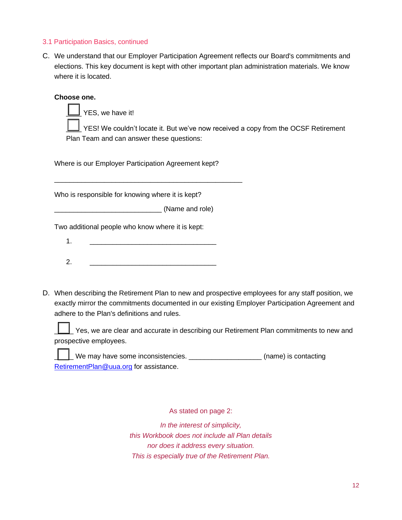#### 3.1 Participation Basics, continued

C. We understand that our Employer Participation Agreement reflects our Board's commitments and elections. This key document is kept with other important plan administration materials. We know where it is located.

#### **Choose one.**

YES, we have it!

YES! We couldn't locate it. But we've now received a copy from the OCSF Retirement Plan Team and can answer these questions:

Where is our Employer Participation Agreement kept?

\_\_\_\_\_\_\_\_\_\_\_\_\_\_\_\_\_\_\_\_\_\_\_\_\_\_\_\_\_\_\_\_\_\_\_\_\_\_\_\_\_\_\_\_\_\_\_\_\_

Who is responsible for knowing where it is kept?

\_\_\_\_\_\_\_\_\_\_\_\_\_\_\_\_\_\_\_\_\_\_\_\_\_\_\_\_ (Name and role)

Two additional people who know where it is kept:

- 1. \_\_\_\_\_\_\_\_\_\_\_\_\_\_\_\_\_\_\_\_\_\_\_\_\_\_\_\_\_\_\_\_\_
- 2. \_\_\_\_\_\_\_\_\_\_\_\_\_\_\_\_\_\_\_\_\_\_\_\_\_\_\_\_\_\_\_\_\_
- D. When describing the Retirement Plan to new and prospective employees for any staff position, we exactly mirror the commitments documented in our existing Employer Participation Agreement and adhere to the Plan's definitions and rules.

\_\_\_\_\_ Yes, we are clear and accurate in describing our Retirement Plan commitments to new and prospective employees.

\_\_\_\_\_ We may have some inconsistencies. \_\_\_\_\_\_\_\_\_\_\_\_\_\_\_\_\_\_\_ (name) is contacting [RetirementPlan@uua.org](mailto:RetirementPlan@uua.org) for assistance.

As stated on page 2:

*In the interest of simplicity, this Workbook does not include all Plan details nor does it address every situation. This is especially true of the Retirement Plan.*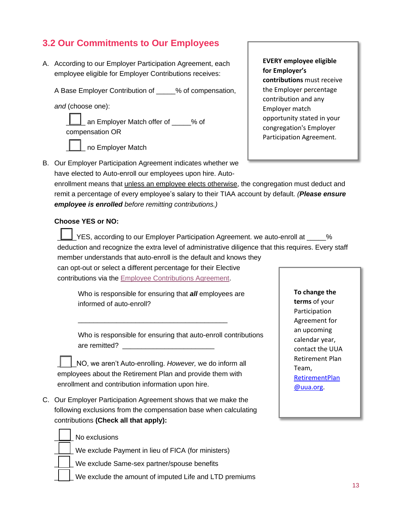## **3.2 Our Commitments to Our Employees**

A. According to our Employer Participation Agreement, each employee eligible for Employer Contributions receives:

A Base Employer Contribution of 2% of compensation,

*and* (choose one):

\_ an Employer Match offer of \_\_\_\_% of compensation OR



**EVERY employee eligible for Employer's contributions** must receive the Employer percentage contribution and any Employer match opportunity stated in your congregation's Employer Participation Agreement.

B. Our Employer Participation Agreement indicates whether we have elected to Auto-enroll our employees upon hire. Autoenrollment means that *unless an employee elects otherwise*, the congregation must deduct and remit a percentage of every employee's salary to their TIAA account by default. *(Please ensure employee is enrolled before remitting contributions.)*

#### **Choose YES or NO:**

P. YES, according to our Employer Participation Agreement. we auto-enroll at  $\sim$  % deduction and recognize the extra level of administrative diligence that this requires. Every staff member understands that auto-enroll is the default and knows they

can opt-out or select a different percentage for their Elective contributions via the [Employee Contributions Agreement.](https://www.uua.org/files/2021-11/Employee_contributions_salary_reduction_agreement.pdf)

> Who is responsible for ensuring that *all* employees are informed of auto-enroll?

Who is responsible for ensuring that auto-enroll contributions are remitted?

\_\_\_\_\_NO, we aren't Auto-enrolling. *However,* we do inform all employees about the Retirement Plan and provide them with enrollment and contribution information upon hire.

\_\_\_\_\_\_\_\_\_\_\_\_\_\_\_\_\_\_\_\_\_\_\_\_\_\_\_\_\_\_\_\_\_\_\_\_\_\_\_

C. Our Employer Participation Agreement shows that we make the following exclusions from the compensation base when calculating contributions **(Check all that apply):**

**To change the terms** of your Participation Agreement for an upcoming calendar year, contact the UUA Retirement Plan Team, [RetirementPlan](mailto:RetirementPlan@uua.org) [@uua.org.](mailto:RetirementPlan@uua.org)

No exclusions

\_\_\_\_\_ We exclude Payment in lieu of FICA (for ministers)

We exclude Same-sex partner/spouse benefits

We exclude the amount of imputed Life and LTD premiums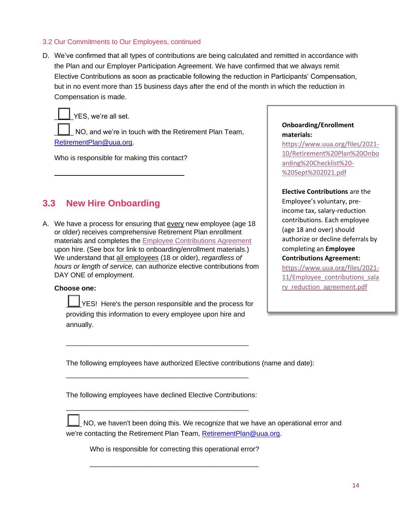#### 3.2 Our Commitments to Our Employees, continued

D. We've confirmed that all types of contributions are being calculated and remitted in accordance with the Plan and our Employer Participation Agreement. We have confirmed that we always remit Elective Contributions as soon as practicable following the reduction in Participants' Compensation, but in no event more than 15 business days after the end of the month in which the reduction in Compensation is made.



YES, we're all set.

NO, and we're in touch with the Retirement Plan Team, [RetirementPlan@uua.org.](mailto:RetirementPlan@uua.org)

Who is responsible for making this contact?

## **3.3 New Hire Onboarding**

A. We have a process for ensuring that every new employee (age 18 or older) receives comprehensive Retirement Plan enrollment materials and completes the [Employee Contributions Agreement](https://www.uua.org/files/2021-11/Employee_contributions_salary_reduction_agreement.pdf) upon hire. (See box for link to onboarding/enrollment materials.) We understand that all employees (18 or older), *regardless of hours or length of service,* can authorize elective contributions from DAY ONE of employment.

#### **Choose one:**

 $\angle$ YES! Here's the person responsible and the process for providing this information to every employee upon hire and annually.

\_\_\_\_\_\_\_\_\_\_\_\_\_\_\_\_\_\_\_\_\_\_\_\_\_\_\_\_\_\_\_\_\_\_\_\_\_\_\_\_\_\_\_\_\_\_\_\_\_\_

\_\_\_\_\_\_\_\_\_\_\_\_\_\_\_\_\_\_\_\_\_\_\_\_\_\_\_\_\_\_\_\_\_\_\_\_\_\_\_\_\_\_\_\_\_\_\_\_\_\_

\_\_\_\_\_\_\_\_\_\_\_\_\_\_\_\_\_\_\_\_\_\_\_\_\_\_\_\_\_\_\_\_\_\_\_\_\_\_\_\_\_\_\_\_\_\_\_\_\_\_

#### **Onboarding/Enrollment materials:**

[https://www.uua.org/files/2021-](https://www.uua.org/files/2021-10/Retirement%20Plan%20Onboarding%20Checklist%20-%20Sept%202021.pdf) [10/Retirement%20Plan%20Onbo](https://www.uua.org/files/2021-10/Retirement%20Plan%20Onboarding%20Checklist%20-%20Sept%202021.pdf) [arding%20Checklist%20-](https://www.uua.org/files/2021-10/Retirement%20Plan%20Onboarding%20Checklist%20-%20Sept%202021.pdf) [%20Sept%202021.pdf](https://www.uua.org/files/2021-10/Retirement%20Plan%20Onboarding%20Checklist%20-%20Sept%202021.pdf)

#### **Elective Contributions** are the

Employee's voluntary, preincome tax, salary-reduction contributions. Each employee (age 18 and over) should authorize or decline deferrals by completing an **Employee Contributions Agreement:** [https://www.uua.org/files/2021-](https://www.uua.org/files/2021-11/Employee_contributions_salary_reduction_agreement.pdf) [11/Employee\\_contributions\\_sala](https://www.uua.org/files/2021-11/Employee_contributions_salary_reduction_agreement.pdf) [ry\\_reduction\\_agreement.pdf](https://www.uua.org/files/2021-11/Employee_contributions_salary_reduction_agreement.pdf)

The following employees have authorized Elective contributions (name and date):

The following employees have declined Elective Contributions:

NO, we haven't been doing this. We recognize that we have an operational error and we're contacting the Retirement Plan Team[, RetirementPlan@uua.org.](mailto:RetirementPlan@uua.org)

Who is responsible for correcting this operational error?

\_\_\_\_\_\_\_\_\_\_\_\_\_\_\_\_\_\_\_\_\_\_\_\_\_\_\_\_\_\_\_\_\_\_\_\_\_\_\_\_\_\_\_\_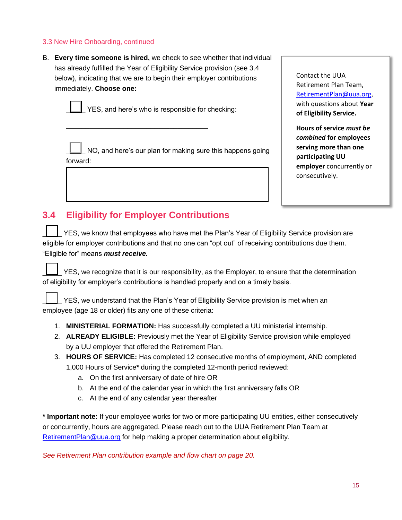#### 3.3 New Hire Onboarding, continued

B. **Every time someone is hired,** we check to see whether that individual has already fulfilled the Year of Eligibility Service provision (see 3.4 below), indicating that we are to begin their employer contributions immediately. **Choose one:**



YES, and here's who is responsible for checking:

NO, and here's our plan for making sure this happens going forward:

Contact the UUA Retirement Plan Team, [RetirementPlan@uua.org,](mailto:RetirementPlan@uua.org) with questions about **Year of Eligibility Service.**

**Hours of service** *must be combined* **for employees serving more than one participating UU employer** concurrently or consecutively.

## **3.4 Eligibility for Employer Contributions**

\_\_\_\_\_\_\_\_\_\_\_\_\_\_\_\_\_\_\_\_\_\_\_\_\_\_\_\_\_\_\_\_\_\_\_\_\_

YES, we know that employees who have met the Plan's Year of Eligibility Service provision are eligible for employer contributions and that no one can "opt out" of receiving contributions due them. "Eligible for" means *must receive.*

YES, we recognize that it is our responsibility, as the Employer, to ensure that the determination of eligibility for employer's contributions is handled properly and on a timely basis.

YES, we understand that the Plan's Year of Eligibility Service provision is met when an employee (age 18 or older) fits any one of these criteria:

- 1. **MINISTERIAL FORMATION:** Has successfully completed a UU ministerial internship.
- 2. **ALREADY ELIGIBLE:** Previously met the Year of Eligibility Service provision while employed by a UU employer that offered the Retirement Plan.
- 3. **HOURS OF SERVICE:** Has completed 12 consecutive months of employment, AND completed 1,000 Hours of Service**\*** during the completed 12-month period reviewed:
	- a. On the first anniversary of date of hire OR
	- b. At the end of the calendar year in which the first anniversary falls OR
	- c. At the end of any calendar year thereafter

**\* Important note:** If your employee works for two or more participating UU entities, either consecutively or concurrently, hours are aggregated. Please reach out to the UUA Retirement Plan Team at [RetirementPlan@uua.org](mailto:RetirementPlan@uua.org) for help making a proper determination about eligibility.

*See Retirement Plan contribution example and flow chart on page 20.*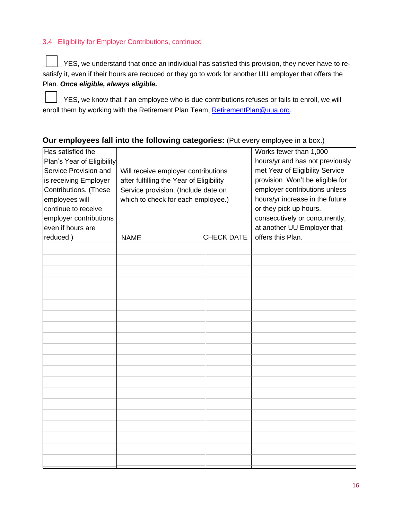#### 3.4 Eligibility for Employer Contributions, continued

\_\_\_\_\_ YES, we understand that once an individual has satisfied this provision, they never have to resatisfy it, even if their hours are reduced or they go to work for another UU employer that offers the Plan. *Once eligible, always eligible.*

\_\_\_\_\_ YES, we know that if an employee who is due contributions refuses or fails to enroll, we will enroll them by working with the Retirement Plan Team[, RetirementPlan@uua.org.](mailto:RetirementPlan@uua.org)

#### **Our employees fall into the following categories:** (Put every employee in a box.)

| Has satisfied the<br>Plan's Year of Eligibility<br>Service Provision and<br>is receiving Employer<br>Contributions. (These<br>employees will<br>continue to receive<br>employer contributions<br>even if hours are<br>reduced.) | Will receive employer contributions<br>after fulfilling the Year of Eligibility<br>Service provision. (Include date on<br>which to check for each employee.)<br><b>CHECK DATE</b><br><b>NAME</b> |  | Works fewer than 1,000<br>hours/yr and has not previously<br>met Year of Eligibility Service<br>provision. Won't be eligible for<br>employer contributions unless<br>hours/yr increase in the future<br>or they pick up hours,<br>consecutively or concurrently,<br>at another UU Employer that<br>offers this Plan. |
|---------------------------------------------------------------------------------------------------------------------------------------------------------------------------------------------------------------------------------|--------------------------------------------------------------------------------------------------------------------------------------------------------------------------------------------------|--|----------------------------------------------------------------------------------------------------------------------------------------------------------------------------------------------------------------------------------------------------------------------------------------------------------------------|
|                                                                                                                                                                                                                                 |                                                                                                                                                                                                  |  |                                                                                                                                                                                                                                                                                                                      |
|                                                                                                                                                                                                                                 |                                                                                                                                                                                                  |  |                                                                                                                                                                                                                                                                                                                      |
|                                                                                                                                                                                                                                 |                                                                                                                                                                                                  |  |                                                                                                                                                                                                                                                                                                                      |
|                                                                                                                                                                                                                                 |                                                                                                                                                                                                  |  |                                                                                                                                                                                                                                                                                                                      |
|                                                                                                                                                                                                                                 |                                                                                                                                                                                                  |  |                                                                                                                                                                                                                                                                                                                      |
|                                                                                                                                                                                                                                 |                                                                                                                                                                                                  |  |                                                                                                                                                                                                                                                                                                                      |
|                                                                                                                                                                                                                                 |                                                                                                                                                                                                  |  |                                                                                                                                                                                                                                                                                                                      |
|                                                                                                                                                                                                                                 |                                                                                                                                                                                                  |  |                                                                                                                                                                                                                                                                                                                      |
|                                                                                                                                                                                                                                 |                                                                                                                                                                                                  |  |                                                                                                                                                                                                                                                                                                                      |
|                                                                                                                                                                                                                                 |                                                                                                                                                                                                  |  |                                                                                                                                                                                                                                                                                                                      |
|                                                                                                                                                                                                                                 |                                                                                                                                                                                                  |  |                                                                                                                                                                                                                                                                                                                      |
|                                                                                                                                                                                                                                 |                                                                                                                                                                                                  |  |                                                                                                                                                                                                                                                                                                                      |
|                                                                                                                                                                                                                                 |                                                                                                                                                                                                  |  |                                                                                                                                                                                                                                                                                                                      |
|                                                                                                                                                                                                                                 |                                                                                                                                                                                                  |  |                                                                                                                                                                                                                                                                                                                      |
|                                                                                                                                                                                                                                 |                                                                                                                                                                                                  |  |                                                                                                                                                                                                                                                                                                                      |
|                                                                                                                                                                                                                                 |                                                                                                                                                                                                  |  |                                                                                                                                                                                                                                                                                                                      |
|                                                                                                                                                                                                                                 |                                                                                                                                                                                                  |  |                                                                                                                                                                                                                                                                                                                      |
|                                                                                                                                                                                                                                 |                                                                                                                                                                                                  |  |                                                                                                                                                                                                                                                                                                                      |
|                                                                                                                                                                                                                                 |                                                                                                                                                                                                  |  |                                                                                                                                                                                                                                                                                                                      |
|                                                                                                                                                                                                                                 |                                                                                                                                                                                                  |  |                                                                                                                                                                                                                                                                                                                      |
|                                                                                                                                                                                                                                 |                                                                                                                                                                                                  |  |                                                                                                                                                                                                                                                                                                                      |
|                                                                                                                                                                                                                                 |                                                                                                                                                                                                  |  |                                                                                                                                                                                                                                                                                                                      |
|                                                                                                                                                                                                                                 |                                                                                                                                                                                                  |  |                                                                                                                                                                                                                                                                                                                      |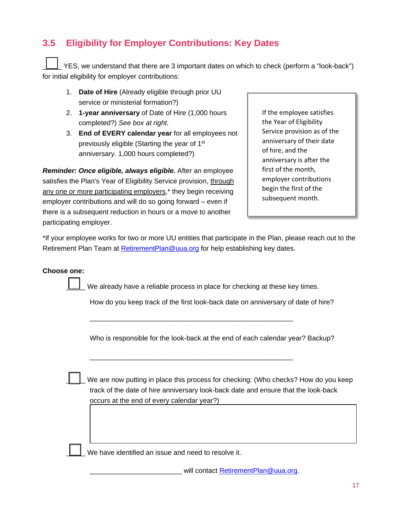## **3.5 Eligibility for Employer Contributions: Key Dates**

YES, we understand that there are 3 important dates on which to check (perform a "look-back") for initial eligibility for employer contributions:

- 1. **Date of Hire** (Already eligible through prior UU service or ministerial formation?)
- 2. **1-year anniversary** of Date of Hire (1,000 hours completed?) *See box at right.*
- 3. **End of EVERY calendar year** for all employees not previously eligible (Starting the year of 1st anniversary. 1,000 hours completed?)

*Reminder: Once eligible, always eligible.* After an employee satisfies the Plan's Year of Eligibility Service provision, through any one or more participating employers,<sup>\*</sup> they begin receiving employer contributions and will do so going forward – even if there is a subsequent reduction in hours or a move to another participating employer.

If the employee satisfies the Year of Eligibility Service provision as of the anniversary of their date of hire, and the anniversary is after the first of the month, employer contributions begin the first of the subsequent month.

\*If your employee works for two or more UU entities that participate in the Plan, please reach out to the Retirement Plan Team at [RetirementPlan@uua.org](mailto:RetirementPlan@uua.org) for help establishing key dates.

#### **Choose one:**

We already have a reliable process in place for checking at these key times.

\_\_\_\_\_\_\_\_\_\_\_\_\_\_\_\_\_\_\_\_\_\_\_\_\_\_\_\_\_\_\_\_\_\_\_\_\_\_\_\_\_\_\_\_\_\_\_\_\_\_\_\_\_

\_\_\_\_\_\_\_\_\_\_\_\_\_\_\_\_\_\_\_\_\_\_\_\_\_\_\_\_\_\_\_\_\_\_\_\_\_\_\_\_\_\_\_\_\_\_\_\_\_\_\_\_\_

How do you keep track of the first look-back date on anniversary of date of hire?

Who is responsible for the look-back at the end of each calendar year? Backup?

We are now putting in place this process for checking: (Who checks? How do you keep track of the date of hire anniversary look-back date and ensure that the look-back occurs at the end of every calendar year?)

We have identified an issue and need to resolve it.

will contact [RetirementPlan@uua.org.](mailto:RetirementPlan@uua.org)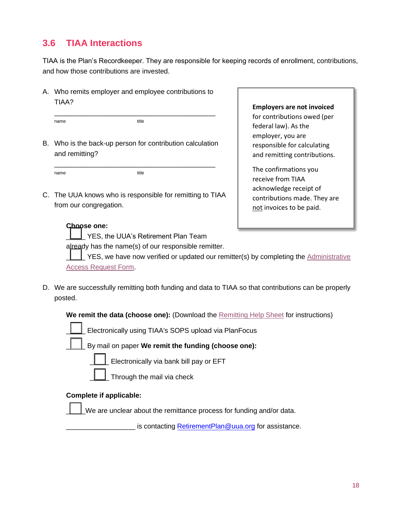## **3.6 TIAA Interactions**

TIAA is the Plan's Recordkeeper. They are responsible for keeping records of enrollment, contributions, and how those contributions are invested.

A. Who remits employer and employee contributions to TIAA?

\_\_\_\_\_\_\_\_\_\_\_\_\_\_\_\_\_\_\_\_\_\_\_\_\_\_\_\_\_\_\_\_\_\_\_\_\_\_\_\_\_\_

name title

B. Who is the back-up person for contribution calculation and remitting?

\_\_\_\_\_\_\_\_\_\_\_\_\_\_\_\_\_\_\_\_\_\_\_\_\_\_\_\_\_\_\_\_\_\_\_\_\_\_\_\_\_\_ name title

C. The UUA knows who is responsible for remitting to TIAA from our congregation.

#### **Employers are not invoiced** for contributions owed (per federal law). As the employer, you are

responsible for calculating and remitting contributions. The confirmations you receive from TIAA

acknowledge receipt of contributions made. They are not invoices to be paid.

#### **Choose one:**

YES, the UUA's Retirement Plan Team

already has the name(s) of our responsible remitter.

YES, we have now verified or updated our remitter(s) by completing the Administrative [Access Request Form.](https://uua.wufoo.com/forms/z451hr60fpieds/)

D. We are successfully remitting both funding and data to TIAA so that contributions can be properly posted.

**We remit the data (choose one):** (Download the [Remitting Help Sheet](https://www.uua.org/files/2021-12/Remitting%20Help%20Sheet.pdf) for instructions)

|  |  |  |  | Electronically using TIAA's SOPS upload via PlanFocus |
|--|--|--|--|-------------------------------------------------------|
|--|--|--|--|-------------------------------------------------------|

\_\_\_\_\_ By mail on paper **We remit the funding (choose one):** 

Electronically via bank bill pay or EFT

Through the mail via check

#### **Complete if applicable:**

We are unclear about the remittance process for funding and/or data.

is contacting **RetirementPlan@uua.org** for assistance.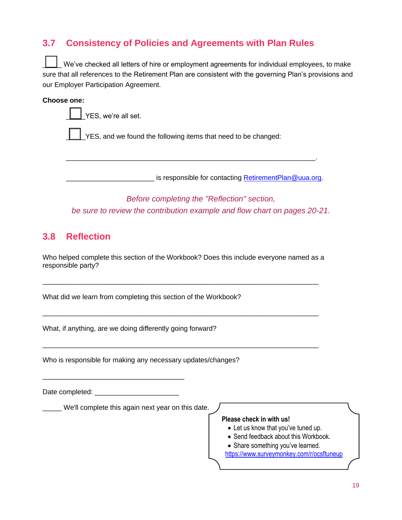## **3.7 Consistency of Policies and Agreements with Plan Rules**

We've checked all letters of hire or employment agreements for individual employees, to make sure that all references to the Retirement Plan are consistent with the governing Plan's provisions and our Employer Participation Agreement.

#### **Choose one:**

YES, we're all set.

YES, and we found the following items that need to be changed:

\_\_\_\_\_\_\_\_\_\_\_\_\_\_\_\_\_\_\_\_\_\_\_\_\_\_\_\_\_\_\_\_\_\_\_\_\_\_\_\_\_\_\_\_\_\_\_\_\_\_\_\_\_\_\_\_\_\_\_\_\_\_\_\_\_.

is responsible for contacting [RetirementPlan@uua.org.](mailto:RetirementPlan@uua.org)

*Before completing the "Reflection" section, be sure to review the contribution example and flow chart on pages 20-21.*

## **3.8 Reflection**

Who helped complete this section of the Workbook? Does this include everyone named as a responsible party?

 $\_$  ,  $\_$  ,  $\_$  ,  $\_$  ,  $\_$  ,  $\_$  ,  $\_$  ,  $\_$  ,  $\_$  ,  $\_$  ,  $\_$  ,  $\_$  ,  $\_$  ,  $\_$  ,  $\_$  ,  $\_$  ,  $\_$  ,  $\_$  ,  $\_$  ,  $\_$  ,  $\_$  ,  $\_$  ,  $\_$  ,  $\_$  ,  $\_$  ,  $\_$  ,  $\_$  ,  $\_$  ,  $\_$  ,  $\_$  ,  $\_$  ,  $\_$  ,  $\_$  ,  $\_$  ,  $\_$  ,  $\_$  ,  $\_$  ,

 $\_$  , and the set of the set of the set of the set of the set of the set of the set of the set of the set of the set of the set of the set of the set of the set of the set of the set of the set of the set of the set of th

 $\_$  ,  $\_$  ,  $\_$  ,  $\_$  ,  $\_$  ,  $\_$  ,  $\_$  ,  $\_$  ,  $\_$  ,  $\_$  ,  $\_$  ,  $\_$  ,  $\_$  ,  $\_$  ,  $\_$  ,  $\_$  ,  $\_$  ,  $\_$  ,  $\_$  ,  $\_$ 

What did we learn from completing this section of the Workbook?

What, if anything, are we doing differently going forward?

Who is responsible for making any necessary updates/changes?

Date completed: \_\_\_\_\_\_\_\_\_\_\_\_\_\_\_\_\_\_\_\_\_\_

\_\_\_\_\_\_\_\_\_\_\_\_\_\_\_\_\_\_\_\_\_\_\_\_\_\_\_\_\_\_\_\_\_\_\_\_\_

\_\_\_\_\_ We'll complete this again next year on this date.

#### **Please check in with us!**

- Let us know that you've tuned up.
- Send feedback about this Workbook.
- Share something you've learned.

<https://www.surveymonkey.com/r/ocsftuneup>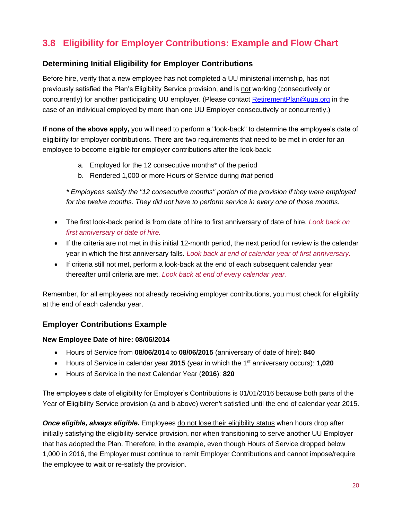## **3.8 Eligibility for Employer Contributions: Example and Flow Chart**

#### **Determining Initial Eligibility for Employer Contributions**

Before hire, verify that a new employee has not completed a UU ministerial internship, has not previously satisfied the Plan's Eligibility Service provision, **and** is not working (consecutively or concurrently) for another participating UU employer. (Please contact [RetirementPlan@uua.org](mailto:RetirementPlan@uua.org) in the case of an individual employed by more than one UU Employer consecutively or concurrently.)

**If none of the above apply,** you will need to perform a "look-back" to determine the employee's date of eligibility for employer contributions. There are two requirements that need to be met in order for an employee to become eligible for employer contributions after the look-back:

- a. Employed for the 12 consecutive months\* of the period
- b. Rendered 1,000 or more Hours of Service during *that* period

*\* Employees satisfy the "12 consecutive months" portion of the provision if they were employed for the twelve months. They did not have to perform service in every one of those months.*

- The first look-back period is from date of hire to first anniversary of date of hire. *Look back on first anniversary of date of hire.*
- If the criteria are not met in this initial 12-month period, the next period for review is the calendar year in which the first anniversary falls. *Look back at end of calendar year of first anniversary.*
- If criteria still not met, perform a look-back at the end of each subsequent calendar year thereafter until criteria are met. *Look back at end of every calendar year.*

Remember, for all employees not already receiving employer contributions, you must check for eligibility at the end of each calendar year.

#### **Employer Contributions Example**

#### **New Employee Date of hire: 08/06/2014**

- Hours of Service from **08/06/2014** to **08/06/2015** (anniversary of date of hire): **840**
- Hours of Service in calendar year 2015 (year in which the 1<sup>st</sup> anniversary occurs): **1,020**
- Hours of Service in the next Calendar Year (**2016**): **820**

The employee's date of eligibility for Employer's Contributions is 01/01/2016 because both parts of the Year of Eligibility Service provision (a and b above) weren't satisfied until the end of calendar year 2015.

*Once eligible, always eligible.* Employees do not lose their eligibility status when hours drop after initially satisfying the eligibility-service provision, nor when transitioning to serve another UU Employer that has adopted the Plan. Therefore, in the example, even though Hours of Service dropped below 1,000 in 2016, the Employer must continue to remit Employer Contributions and cannot impose/require the employee to wait or re-satisfy the provision.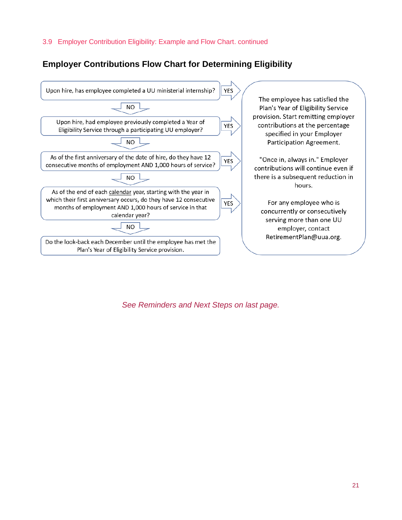#### 3.9 Employer Contribution Eligibility: Example and Flow Chart. continued

### **Employer Contributions Flow Chart for Determining Eligibility**



*See Reminders and Next Steps on last page.*